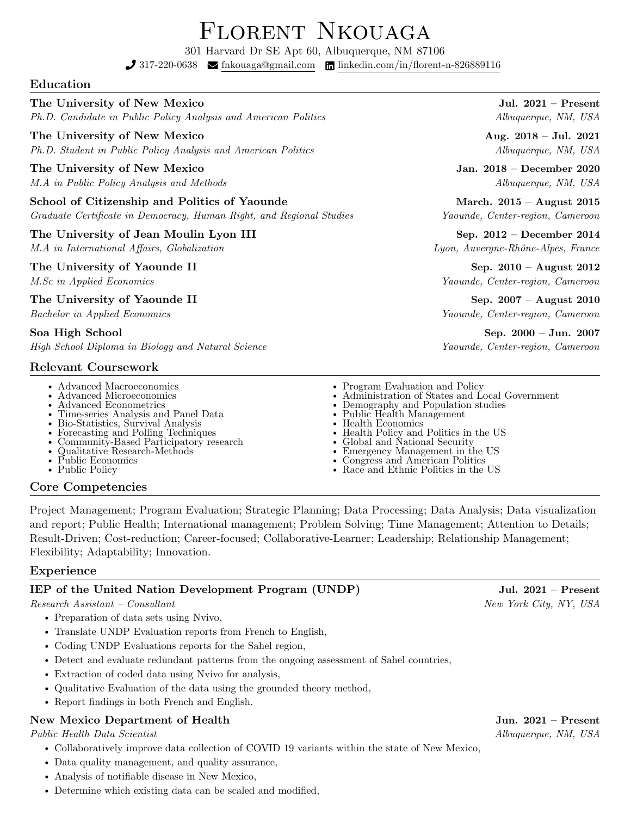# Florent Nkouaga

301 Harvard Dr SE Apt 60, Albuquerque, NM 87106

 $\int 317-220-0638$   $\blacksquare$  [fnkouaga@gmail.com](mailto:x@gmail.com)  $\blacksquare$  [linkedin.com/in/florent-n-826889116](https://linkedin.com/in//)

### Education

### The University of New Mexico Jul. 2021 – Present

Ph.D. Candidate in Public Policy Analysis and American Politics Albuquerque, NM, USA

### The University of New Mexico **Aug.** 2018 – Jul. 2021

Ph.D. Student in Public Policy Analysis and American Politics Albuquerque, NM, USA

### The University of New Mexico Jan. 2018 – December 2020

M.A in Public Policy Analysis and Methods Albuquerque, NM, USA

School of Citizenship and Politics of Yaounde March. 2015 – August 2015 Graduate Certificate in Democracy, Human Right, and Regional Studies Yaounde, Center-region, Cameroon

# The University of Jean Moulin Lyon III Sep. 2012 – December 2014

M.A in International Affairs, Globalization Lyon, Auvergne-Rhône-Alpes, France

### The University of Yaounde II Sep. 2010 – August 2012

The University of Yaounde II Sep. 2007 – August 2010

High School Diploma in Biology and Natural Science Yaounde, Center-region, Cameroon

# Relevant Coursework

- Advanced Macroeconomics
- Advanced Microeconomics
- Advanced Econometrics
- Time-series Analysis and Panel Data
- Bio-Statistics, Survival Analysis • Forecasting and Polling Techniques
- Community-Based Participatory research
- Qualitative Research-Methods
- Public Economics
- Public Policy

# Core Competencies

Project Management; Program Evaluation; Strategic Planning; Data Processing; Data Analysis; Data visualization and report; Public Health; International management; Problem Solving; Time Management; Attention to Details; Result-Driven; Cost-reduction; Career-focused; Collaborative-Learner; Leadership; Relationship Management; Flexibility; Adaptability; Innovation.

# Experience

# IEP of the United Nation Development Program (UNDP) Jul. 2021 – Present

Research Assistant – Consultant  $New York City, NY, USA$ 

- Preparation of data sets using Nvivo,
- Translate UNDP Evaluation reports from French to English,
- Coding UNDP Evaluations reports for the Sahel region,
- Detect and evaluate redundant patterns from the ongoing assessment of Sahel countries,
- Extraction of coded data using Nvivo for analysis,
- Qualitative Evaluation of the data using the grounded theory method,
- Report findings in both French and English.

# New Mexico Department of Health Jun. 2021 – Present

Public Health Data Scientist Albuquerque, NM, USA

- Collaboratively improve data collection of COVID 19 variants within the state of New Mexico,
- Data quality management, and quality assurance,
- Analysis of notifiable disease in New Mexico,
- Determine which existing data can be scaled and modified,

M.Sc in Applied Economics Yaounde, Center-region, Cameroon

Bachelor in Applied Economics Yaounde, Center-region, Cameroon

Soa High School Sep. 2000 – Jun. 2007

- Program Evaluation and Policy
- Administration of States and Local Government
- Demography and Population studies
- Public Health Management
- Health Economics
- Health Policy and Politics in the US Global and National Security
- Emergency Management in the US
- Congress and American Politics
- 
- Race and Ethnic Politics in the US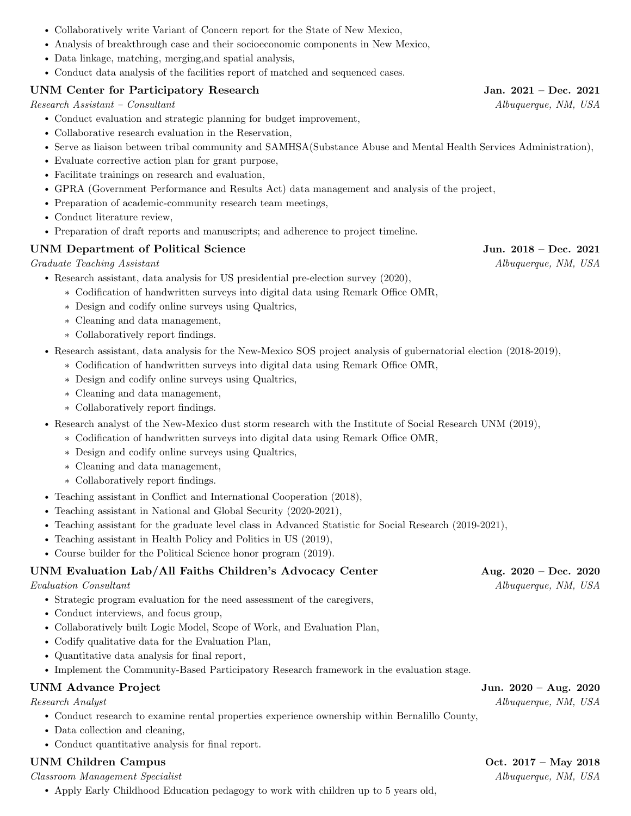- Collaboratively write Variant of Concern report for the State of New Mexico,
- Analysis of breakthrough case and their socioeconomic components in New Mexico,
- Data linkage, matching, merging,and spatial analysis,
- Conduct data analysis of the facilities report of matched and sequenced cases.

# UNM Center for Participatory Research Jan. 2021 – Dec. 2021

Research Assistant – Consultant  $Albuquerque, NM, USA$ 

- Conduct evaluation and strategic planning for budget improvement,
- Collaborative research evaluation in the Reservation,
- Serve as liaison between tribal community and SAMHSA(Substance Abuse and Mental Health Services Administration),
- Evaluate corrective action plan for grant purpose,
- Facilitate trainings on research and evaluation,
- GPRA (Government Performance and Results Act) data management and analysis of the project,
- Preparation of academic-community research team meetings,
- Conduct literature review,
- Preparation of draft reports and manuscripts; and adherence to project timeline.

# UNM Department of Political Science Jun. 2018 – Dec. 2021

Graduate Teaching Assistant and Albuquerque, NM, USA

- Research assistant, data analysis for US presidential pre-election survey (2020),
	- ∗ Codification of handwritten surveys into digital data using Remark Office OMR,
	- ∗ Design and codify online surveys using Qualtrics,
	- ∗ Cleaning and data management,
	- ∗ Collaboratively report findings.
- Research assistant, data analysis for the New-Mexico SOS project analysis of gubernatorial election (2018-2019),
	- ∗ Codification of handwritten surveys into digital data using Remark Office OMR,
	- ∗ Design and codify online surveys using Qualtrics,
	- ∗ Cleaning and data management,
	- ∗ Collaboratively report findings.
- Research analyst of the New-Mexico dust storm research with the Institute of Social Research UNM (2019),
	- ∗ Codification of handwritten surveys into digital data using Remark Office OMR,
	- ∗ Design and codify online surveys using Qualtrics,
	- ∗ Cleaning and data management,
	- ∗ Collaboratively report findings.
- Teaching assistant in Conflict and International Cooperation (2018),
- Teaching assistant in National and Global Security (2020-2021),
- Teaching assistant for the graduate level class in Advanced Statistic for Social Research (2019-2021),
- Teaching assistant in Health Policy and Politics in US (2019),
- Course builder for the Political Science honor program (2019).

### UNM Evaluation Lab/All Faiths Children's Advocacy Center Aug. 2020 – Dec. 2020

Evaluation Consultant Albuquerque, NM, USA

- Strategic program evaluation for the need assessment of the caregivers,
- Conduct interviews, and focus group,
- Collaboratively built Logic Model, Scope of Work, and Evaluation Plan,
- Codify qualitative data for the Evaluation Plan,
- Quantitative data analysis for final report,
- Implement the Community-Based Participatory Research framework in the evaluation stage.

### UNM Advance Project Jun. 2020 – Aug. 2020

- Conduct research to examine rental properties experience ownership within Bernalillo County,
- Data collection and cleaning,
- Conduct quantitative analysis for final report.

### UNM Children Campus Campus Control of the UNESCON Control of the UNESCON Control of the UNESCON Control of the UNESCON Control of the UNESCON Control of the UNESCON Control of the UNESCON Control of the UNESCON Control of

Classroom Management Specialist Albuquerque, NM, USA

• Apply Early Childhood Education pedagogy to work with children up to 5 years old,

Research Analyst Albuquerque, NM, USA